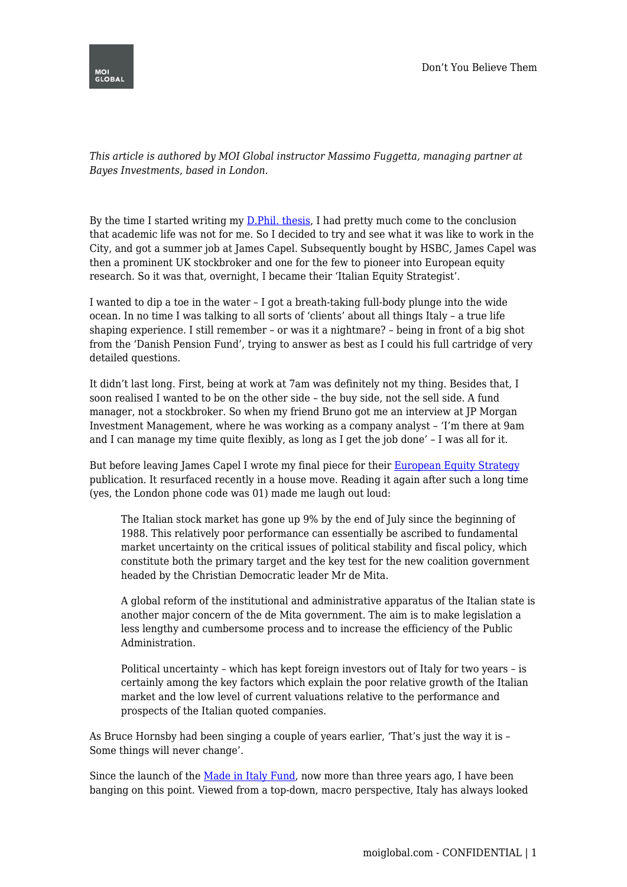

*This article is authored by MOI Global instructor Massimo Fuggetta, managing partner at Bayes Investments, based in London.*

By the time I started writing my **D.Phil.** thesis, I had pretty much come to the conclusion that academic life was not for me. So I decided to try and see what it was like to work in the City, and got a summer job at James Capel. Subsequently bought by HSBC, James Capel was then a prominent UK stockbroker and one for the few to pioneer into European equity research. So it was that, overnight, I became their 'Italian Equity Strategist'.

I wanted to dip a toe in the water – I got a breath-taking full-body plunge into the wide ocean. In no time I was talking to all sorts of 'clients' about all things Italy – a true life shaping experience. I still remember – or was it a nightmare? – being in front of a big shot from the 'Danish Pension Fund', trying to answer as best as I could his full cartridge of very detailed questions.

It didn't last long. First, being at work at 7am was definitely not my thing. Besides that, I soon realised I wanted to be on the other side – the buy side, not the sell side. A fund manager, not a stockbroker. So when my friend Bruno got me an interview at JP Morgan Investment Management, where he was working as a company analyst – 'I'm there at 9am and I can manage my time quite flexibly, as long as I get the job done' – I was all for it.

But before leaving James Capel I wrote my final piece for their [European Equity Strategy](https://www.massimofuggetta.com/wp-content/uploads/2019/07/James-Capel-1988.pdf) publication. It resurfaced recently in a house move. Reading it again after such a long time (yes, the London phone code was 01) made me laugh out loud:

The Italian stock market has gone up 9% by the end of July since the beginning of 1988. This relatively poor performance can essentially be ascribed to fundamental market uncertainty on the critical issues of political stability and fiscal policy, which constitute both the primary target and the key test for the new coalition government headed by the Christian Democratic leader Mr de Mita.

A global reform of the institutional and administrative apparatus of the Italian state is another major concern of the de Mita government. The aim is to make legislation a less lengthy and cumbersome process and to increase the efficiency of the Public Administration.

Political uncertainty – which has kept foreign investors out of Italy for two years – is certainly among the key factors which explain the poor relative growth of the Italian market and the low level of current valuations relative to the performance and prospects of the Italian quoted companies.

As Bruce Hornsby had been singing a couple of years earlier, 'That's just the way it is – Some things will never change'.

Since the launch of the [Made in Italy Fund](https://bayesinvestments.com/), now more than three years ago, I have been banging on this point. Viewed from a top-down, macro perspective, Italy has always looked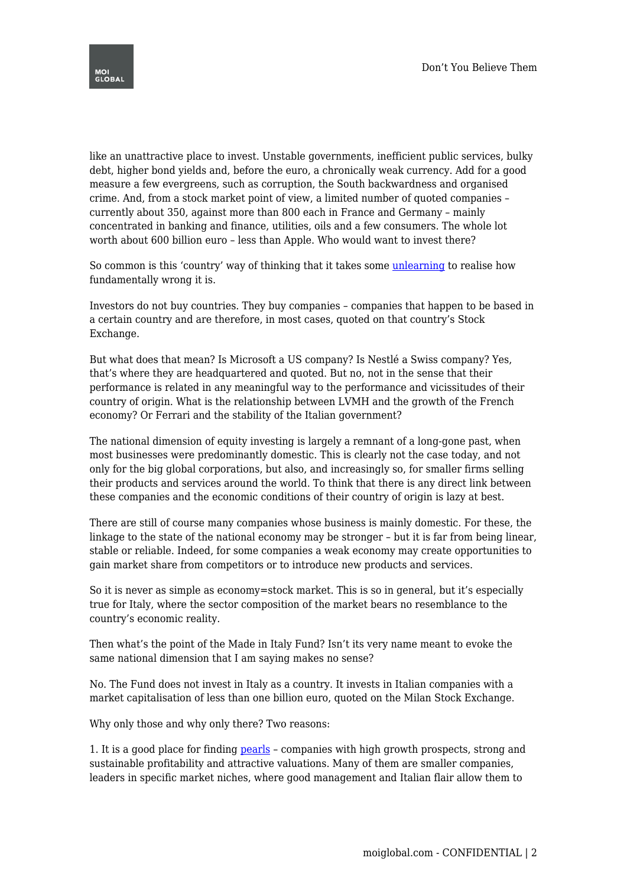

like an unattractive place to invest. Unstable governments, inefficient public services, bulky debt, higher bond yields and, before the euro, a chronically weak currency. Add for a good measure a few evergreens, such as corruption, the South backwardness and organised crime. And, from a stock market point of view, a limited number of quoted companies – currently about 350, against more than 800 each in France and Germany – mainly concentrated in banking and finance, utilities, oils and a few consumers. The whole lot worth about 600 billion euro – less than Apple. Who would want to invest there?

So common is this 'country' way of thinking that it takes some [unlearning](https://www.massimofuggetta.com/2019/03/17/investing-theory-vs-practice/) to realise how fundamentally wrong it is.

Investors do not buy countries. They buy companies – companies that happen to be based in a certain country and are therefore, in most cases, quoted on that country's Stock Exchange.

But what does that mean? Is Microsoft a US company? Is Nestlé a Swiss company? Yes, that's where they are headquartered and quoted. But no, not in the sense that their performance is related in any meaningful way to the performance and vicissitudes of their country of origin. What is the relationship between LVMH and the growth of the French economy? Or Ferrari and the stability of the Italian government?

The national dimension of equity investing is largely a remnant of a long-gone past, when most businesses were predominantly domestic. This is clearly not the case today, and not only for the big global corporations, but also, and increasingly so, for smaller firms selling their products and services around the world. To think that there is any direct link between these companies and the economic conditions of their country of origin is lazy at best.

There are still of course many companies whose business is mainly domestic. For these, the linkage to the state of the national economy may be stronger – but it is far from being linear, stable or reliable. Indeed, for some companies a weak economy may create opportunities to gain market share from competitors or to introduce new products and services.

So it is never as simple as economy=stock market. This is so in general, but it's especially true for Italy, where the sector composition of the market bears no resemblance to the country's economic reality.

Then what's the point of the Made in Italy Fund? Isn't its very name meant to evoke the same national dimension that I am saying makes no sense?

No. The Fund does not invest in Italy as a country. It invests in Italian companies with a market capitalisation of less than one billion euro, quoted on the Milan Stock Exchange.

Why only those and why only there? Two reasons:

1. It is a good place for finding [pearls](https://www.massimofuggetta.com/2012/11/21/pearls-and-pebbles/) – companies with high growth prospects, strong and sustainable profitability and attractive valuations. Many of them are smaller companies, leaders in specific market niches, where good management and Italian flair allow them to